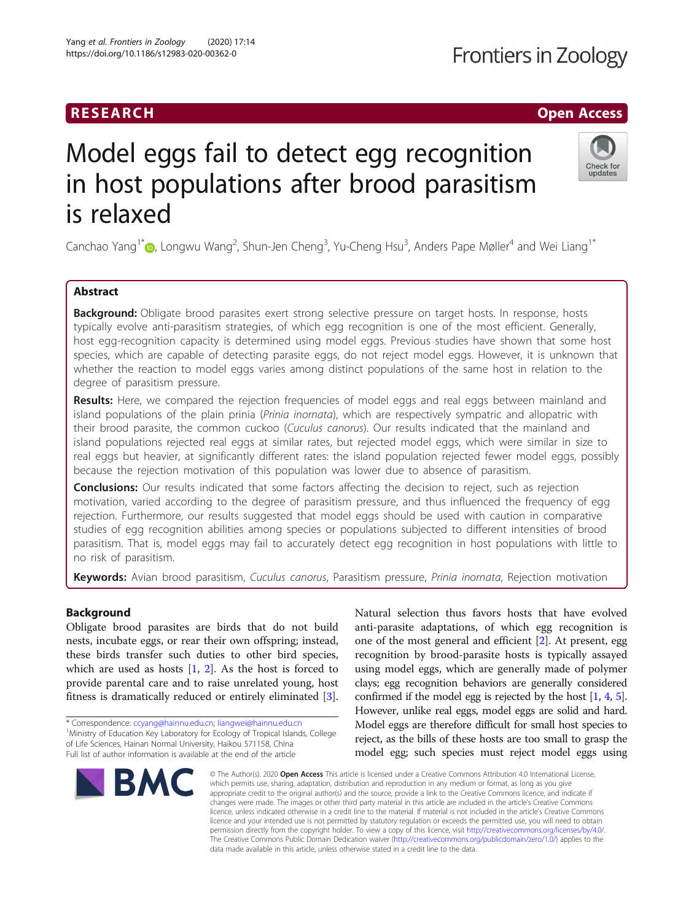# RESEARCH **RESEARCH CHANNEL CONTROL**

# Model eggs fail to detect egg recognition in host populations after brood parasitism is relaxed

Canchao Yang<sup>1[\\*](http://orcid.org/0000-0001-9405-2749)</sup>�, Longwu Wang<sup>2</sup>, Shun-Jen Cheng<sup>3</sup>, Yu-Cheng Hsu<sup>3</sup>, Anders Pape Møller<sup>4</sup> and Wei Liang<sup>1\*</sup>

# Abstract

**Background:** Obligate brood parasites exert strong selective pressure on target hosts. In response, hosts typically evolve anti-parasitism strategies, of which egg recognition is one of the most efficient. Generally, host egg-recognition capacity is determined using model eggs. Previous studies have shown that some host species, which are capable of detecting parasite eggs, do not reject model eggs. However, it is unknown that whether the reaction to model eggs varies among distinct populations of the same host in relation to the degree of parasitism pressure.

Results: Here, we compared the rejection frequencies of model eggs and real eggs between mainland and island populations of the plain prinia (Prinia inornata), which are respectively sympatric and allopatric with their brood parasite, the common cuckoo (Cuculus canorus). Our results indicated that the mainland and island populations rejected real eggs at similar rates, but rejected model eggs, which were similar in size to real eggs but heavier, at significantly different rates: the island population rejected fewer model eggs, possibly because the rejection motivation of this population was lower due to absence of parasitism.

**Conclusions:** Our results indicated that some factors affecting the decision to reject, such as rejection motivation, varied according to the degree of parasitism pressure, and thus influenced the frequency of egg rejection. Furthermore, our results suggested that model eggs should be used with caution in comparative studies of egg recognition abilities among species or populations subjected to different intensities of brood parasitism. That is, model eggs may fail to accurately detect egg recognition in host populations with little to no risk of parasitism.

Keywords: Avian brood parasitism, Cuculus canorus, Parasitism pressure, Prinia inornata, Rejection motivation

# Background

Obligate brood parasites are birds that do not build nests, incubate eggs, or rear their own offspring; instead, these birds transfer such duties to other bird species, which are used as hosts  $[1, 2]$  $[1, 2]$  $[1, 2]$  $[1, 2]$ . As the host is forced to provide parental care and to raise unrelated young, host fitness is dramatically reduced or entirely eliminated [\[3](#page-5-0)].

\* Correspondence: [ccyang@hainnu.edu.cn](mailto:ccyang@hainnu.edu.cn); [liangwei@hainnu.edu.cn](mailto:liangwei@hainnu.edu.cn) <sup>1</sup>

BMC

<sup>1</sup>Ministry of Education Key Laboratory for Ecology of Tropical Islands, College of Life Sciences, Hainan Normal University, Haikou 571158, China Full list of author information is available at the end of the article

clays; egg recognition behaviors are generally considered confirmed if the model egg is rejected by the host  $[1, 4, 5]$  $[1, 4, 5]$  $[1, 4, 5]$  $[1, 4, 5]$  $[1, 4, 5]$  $[1, 4, 5]$ . However, unlike real eggs, model eggs are solid and hard. Model eggs are therefore difficult for small host species to reject, as the bills of these hosts are too small to grasp the model egg; such species must reject model eggs using

© The Author(s), 2020 **Open Access** This article is licensed under a Creative Commons Attribution 4.0 International License, which permits use, sharing, adaptation, distribution and reproduction in any medium or format, as long as you give appropriate credit to the original author(s) and the source, provide a link to the Creative Commons licence, and indicate if changes were made. The images or other third party material in this article are included in the article's Creative Commons licence, unless indicated otherwise in a credit line to the material. If material is not included in the article's Creative Commons licence and your intended use is not permitted by statutory regulation or exceeds the permitted use, you will need to obtain permission directly from the copyright holder. To view a copy of this licence, visit [http://creativecommons.org/licenses/by/4.0/.](http://creativecommons.org/licenses/by/4.0/) The Creative Commons Public Domain Dedication waiver [\(http://creativecommons.org/publicdomain/zero/1.0/](http://creativecommons.org/publicdomain/zero/1.0/)) applies to the data made available in this article, unless otherwise stated in a credit line to the data.

Natural selection thus favors hosts that have evolved anti-parasite adaptations, of which egg recognition is one of the most general and efficient [[2\]](#page-5-0). At present, egg recognition by brood-parasite hosts is typically assayed using model eggs, which are generally made of polymer



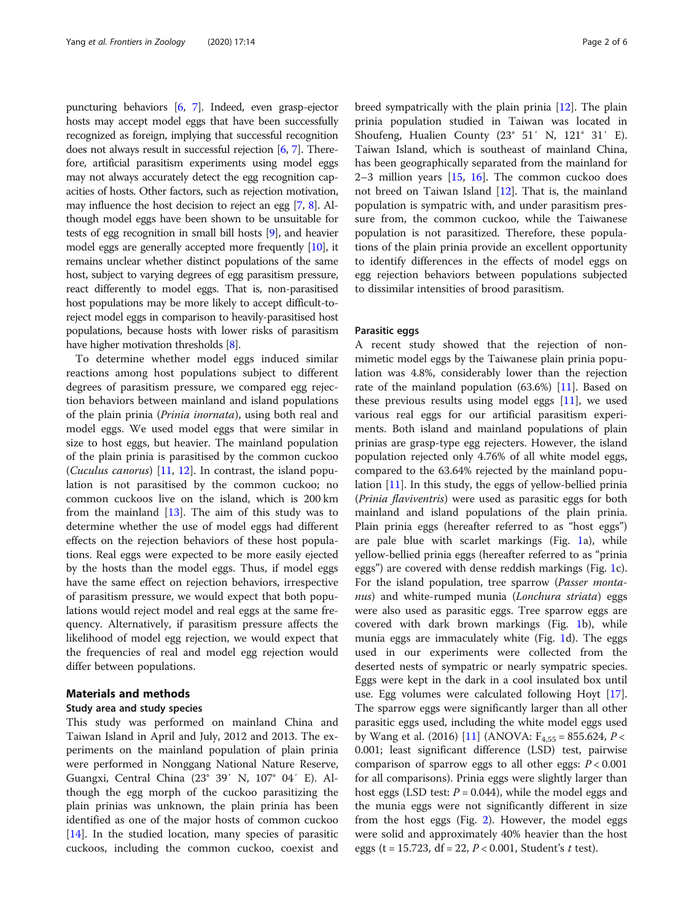puncturing behaviors [[6](#page-5-0), [7\]](#page-5-0). Indeed, even grasp-ejector hosts may accept model eggs that have been successfully recognized as foreign, implying that successful recognition does not always result in successful rejection [[6](#page-5-0), [7](#page-5-0)]. Therefore, artificial parasitism experiments using model eggs may not always accurately detect the egg recognition capacities of hosts. Other factors, such as rejection motivation, may influence the host decision to reject an egg [[7,](#page-5-0) [8\]](#page-5-0). Although model eggs have been shown to be unsuitable for tests of egg recognition in small bill hosts [\[9\]](#page-5-0), and heavier model eggs are generally accepted more frequently [\[10\]](#page-5-0), it remains unclear whether distinct populations of the same host, subject to varying degrees of egg parasitism pressure, react differently to model eggs. That is, non-parasitised host populations may be more likely to accept difficult-toreject model eggs in comparison to heavily-parasitised host populations, because hosts with lower risks of parasitism have higher motivation thresholds [\[8\]](#page-5-0).

To determine whether model eggs induced similar reactions among host populations subject to different degrees of parasitism pressure, we compared egg rejection behaviors between mainland and island populations of the plain prinia (Prinia inornata), using both real and model eggs. We used model eggs that were similar in size to host eggs, but heavier. The mainland population of the plain prinia is parasitised by the common cuckoo (Cuculus canorus) [[11,](#page-5-0) [12\]](#page-5-0). In contrast, the island population is not parasitised by the common cuckoo; no common cuckoos live on the island, which is 200 km from the mainland  $[13]$  $[13]$ . The aim of this study was to determine whether the use of model eggs had different effects on the rejection behaviors of these host populations. Real eggs were expected to be more easily ejected by the hosts than the model eggs. Thus, if model eggs have the same effect on rejection behaviors, irrespective of parasitism pressure, we would expect that both populations would reject model and real eggs at the same frequency. Alternatively, if parasitism pressure affects the likelihood of model egg rejection, we would expect that the frequencies of real and model egg rejection would differ between populations.

# Materials and methods

#### Study area and study species

This study was performed on mainland China and Taiwan Island in April and July, 2012 and 2013. The experiments on the mainland population of plain prinia were performed in Nonggang National Nature Reserve, Guangxi, Central China (23° 39′ N, 107° 04′ E). Although the egg morph of the cuckoo parasitizing the plain prinias was unknown, the plain prinia has been identified as one of the major hosts of common cuckoo [[14\]](#page-5-0). In the studied location, many species of parasitic cuckoos, including the common cuckoo, coexist and

breed sympatrically with the plain prinia [\[12\]](#page-5-0). The plain prinia population studied in Taiwan was located in Shoufeng, Hualien County (23° 51′ N, 121° 31′ E). Taiwan Island, which is southeast of mainland China, has been geographically separated from the mainland for 2–3 million years  $[15, 16]$  $[15, 16]$  $[15, 16]$ . The common cuckoo does not breed on Taiwan Island [\[12\]](#page-5-0). That is, the mainland population is sympatric with, and under parasitism pressure from, the common cuckoo, while the Taiwanese population is not parasitized. Therefore, these populations of the plain prinia provide an excellent opportunity to identify differences in the effects of model eggs on egg rejection behaviors between populations subjected to dissimilar intensities of brood parasitism.

## Parasitic eggs

A recent study showed that the rejection of nonmimetic model eggs by the Taiwanese plain prinia population was 4.8%, considerably lower than the rejection rate of the mainland population  $(63.6%)$  [\[11\]](#page-5-0). Based on these previous results using model eggs  $[11]$  $[11]$ , we used various real eggs for our artificial parasitism experiments. Both island and mainland populations of plain prinias are grasp-type egg rejecters. However, the island population rejected only 4.76% of all white model eggs, compared to the 63.64% rejected by the mainland population [\[11\]](#page-5-0). In this study, the eggs of yellow-bellied prinia (Prinia flaviventris) were used as parasitic eggs for both mainland and island populations of the plain prinia. Plain prinia eggs (hereafter referred to as "host eggs") are pale blue with scarlet markings (Fig. [1a](#page-2-0)), while yellow-bellied prinia eggs (hereafter referred to as "prinia eggs") are covered with dense reddish markings (Fig. [1c](#page-2-0)). For the island population, tree sparrow (Passer montanus) and white-rumped munia (Lonchura striata) eggs were also used as parasitic eggs. Tree sparrow eggs are covered with dark brown markings (Fig. [1b](#page-2-0)), while munia eggs are immaculately white (Fig. [1d](#page-2-0)). The eggs used in our experiments were collected from the deserted nests of sympatric or nearly sympatric species. Eggs were kept in the dark in a cool insulated box until use. Egg volumes were calculated following Hoyt [\[17](#page-5-0)]. The sparrow eggs were significantly larger than all other parasitic eggs used, including the white model eggs used by Wang et al. (2016) [[11](#page-5-0)] (ANOVA:  $F_{4,55} = 855.624$ ,  $P <$ 0.001; least significant difference (LSD) test, pairwise comparison of sparrow eggs to all other eggs:  $P < 0.001$ for all comparisons). Prinia eggs were slightly larger than host eggs (LSD test:  $P = 0.044$ ), while the model eggs and the munia eggs were not significantly different in size from the host eggs (Fig. [2](#page-2-0)). However, the model eggs were solid and approximately 40% heavier than the host eggs (t = 15.723, df = 22,  $P < 0.001$ , Student's t test).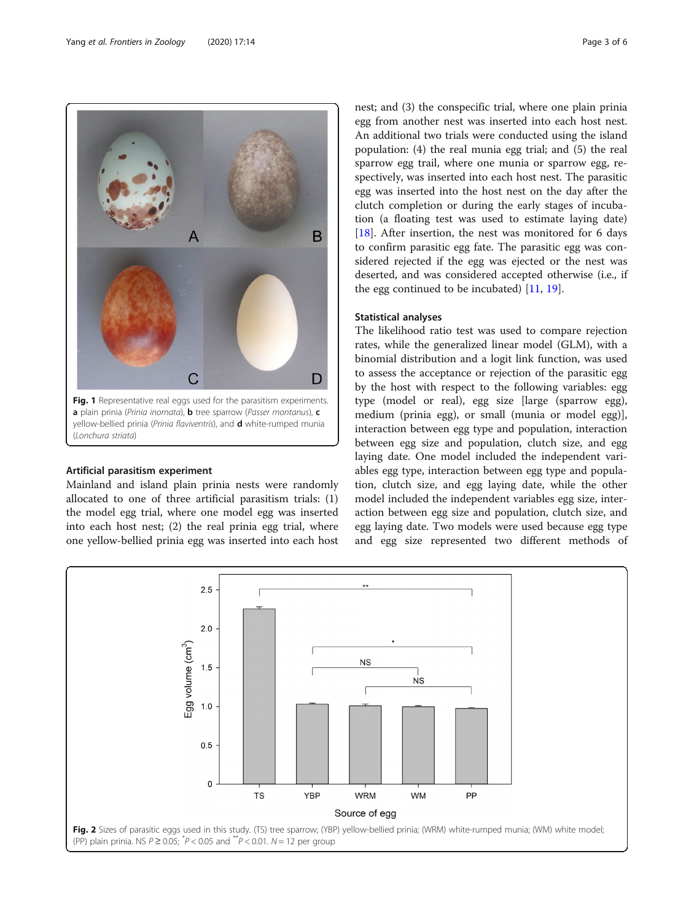<span id="page-2-0"></span>

yellow-bellied prinia (Prinia flaviventris), and **d** white-rumped munia (Lonchura striata)

# Artificial parasitism experiment

Mainland and island plain prinia nests were randomly allocated to one of three artificial parasitism trials: (1) the model egg trial, where one model egg was inserted into each host nest; (2) the real prinia egg trial, where one yellow-bellied prinia egg was inserted into each host

nest; and (3) the conspecific trial, where one plain prinia egg from another nest was inserted into each host nest. An additional two trials were conducted using the island population: (4) the real munia egg trial; and (5) the real sparrow egg trail, where one munia or sparrow egg, respectively, was inserted into each host nest. The parasitic egg was inserted into the host nest on the day after the clutch completion or during the early stages of incubation (a floating test was used to estimate laying date) [[18\]](#page-5-0). After insertion, the nest was monitored for 6 days to confirm parasitic egg fate. The parasitic egg was considered rejected if the egg was ejected or the nest was deserted, and was considered accepted otherwise (i.e., if the egg continued to be incubated) [\[11,](#page-5-0) [19\]](#page-5-0).

# Statistical analyses

The likelihood ratio test was used to compare rejection rates, while the generalized linear model (GLM), with a binomial distribution and a logit link function, was used to assess the acceptance or rejection of the parasitic egg by the host with respect to the following variables: egg type (model or real), egg size [large (sparrow egg), medium (prinia egg), or small (munia or model egg)], interaction between egg type and population, interaction between egg size and population, clutch size, and egg laying date. One model included the independent variables egg type, interaction between egg type and population, clutch size, and egg laying date, while the other model included the independent variables egg size, interaction between egg size and population, clutch size, and egg laying date. Two models were used because egg type and egg size represented two different methods of

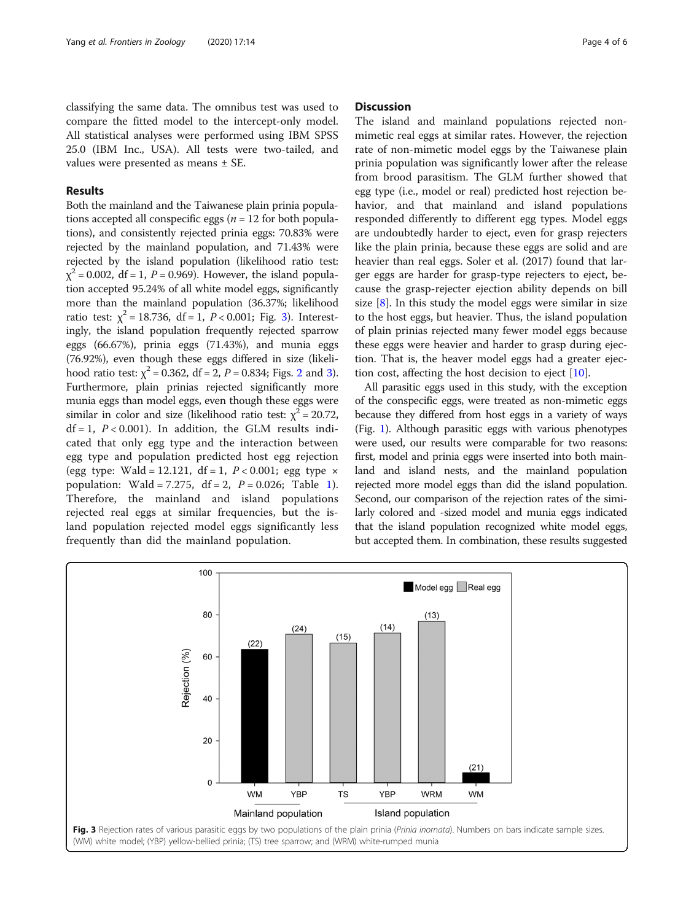classifying the same data. The omnibus test was used to compare the fitted model to the intercept-only model. All statistical analyses were performed using IBM SPSS 25.0 (IBM Inc., USA). All tests were two-tailed, and values were presented as means ± SE.

# Results

Both the mainland and the Taiwanese plain prinia populations accepted all conspecific eggs ( $n = 12$  for both populations), and consistently rejected prinia eggs: 70.83% were rejected by the mainland population, and 71.43% were rejected by the island population (likelihood ratio test:  $\chi^2$  = 0.002, df = 1, P = 0.969). However, the island population accepted 95.24% of all white model eggs, significantly more than the mainland population (36.37%; likelihood ratio test:  $\chi^2 = 18.736$ , df = 1,  $P < 0.001$ ; Fig. 3). Interestingly, the island population frequently rejected sparrow eggs (66.67%), prinia eggs (71.43%), and munia eggs (76.92%), even though these eggs differed in size (likelihood ratio test:  $\chi^2$  $\chi^2$  = 0.362, df = 2, P = 0.834; Figs. 2 and 3). Furthermore, plain prinias rejected significantly more munia eggs than model eggs, even though these eggs were similar in color and size (likelihood ratio test:  $\chi^2$  = 20.72,  $df = 1$ ,  $P < 0.001$ ). In addition, the GLM results indicated that only egg type and the interaction between egg type and population predicted host egg rejection (egg type: Wald = 12.121, df = 1,  $P < 0.001$ ; egg type  $\times$ population: Wald = 7.275, df = 2,  $P = 0.026$ ; Table [1](#page-4-0)). Therefore, the mainland and island populations rejected real eggs at similar frequencies, but the island population rejected model eggs significantly less frequently than did the mainland population.

## **Discussion**

The island and mainland populations rejected nonmimetic real eggs at similar rates. However, the rejection rate of non-mimetic model eggs by the Taiwanese plain prinia population was significantly lower after the release from brood parasitism. The GLM further showed that egg type (i.e., model or real) predicted host rejection behavior, and that mainland and island populations responded differently to different egg types. Model eggs are undoubtedly harder to eject, even for grasp rejecters like the plain prinia, because these eggs are solid and are heavier than real eggs. Soler et al. (2017) found that larger eggs are harder for grasp-type rejecters to eject, because the grasp-rejecter ejection ability depends on bill size  $[8]$ . In this study the model eggs were similar in size to the host eggs, but heavier. Thus, the island population of plain prinias rejected many fewer model eggs because these eggs were heavier and harder to grasp during ejection. That is, the heaver model eggs had a greater ejection cost, affecting the host decision to eject  $[10]$  $[10]$ .

All parasitic eggs used in this study, with the exception of the conspecific eggs, were treated as non-mimetic eggs because they differed from host eggs in a variety of ways (Fig. [1\)](#page-2-0). Although parasitic eggs with various phenotypes were used, our results were comparable for two reasons: first, model and prinia eggs were inserted into both mainland and island nests, and the mainland population rejected more model eggs than did the island population. Second, our comparison of the rejection rates of the similarly colored and -sized model and munia eggs indicated that the island population recognized white model eggs, but accepted them. In combination, these results suggested

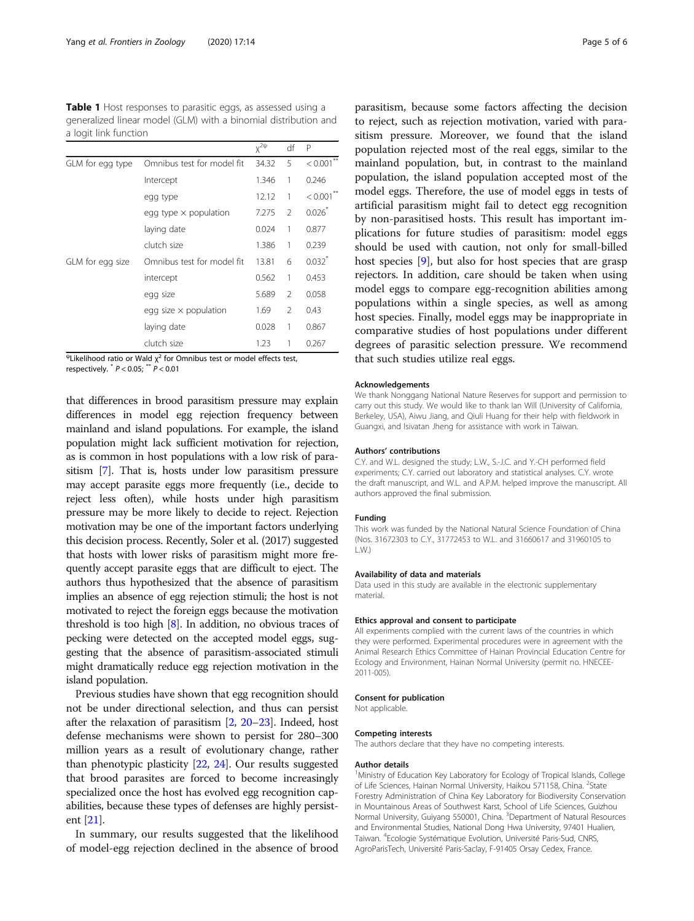<span id="page-4-0"></span>Table 1 Host responses to parasitic eggs, as assessed using a generalized linear model (GLM) with a binomial distribution and a logit link function

|                  |                              | $X^{2\psi}$ | df             | P                    |
|------------------|------------------------------|-------------|----------------|----------------------|
| GLM for egg type | Omnibus test for model fit   | 34.32       | 5              | < 0.001              |
|                  | Intercept                    | 1.346       | 1              | 0.246                |
|                  | egg type                     | 12.12       | 1              | < 0.001              |
|                  | egg type $\times$ population | 7.275       | $\mathcal{P}$  | $0.026*$             |
|                  | laying date                  | 0.024       | 1              | 0.877                |
|                  | clutch size                  | 1.386       | 1              | 0.239                |
| GLM for egg size | Omnibus test for model fit   | 13.81       | 6              | $0.032$ <sup>*</sup> |
|                  | intercept                    | 0.562       | 1              | 0.453                |
|                  | egg size                     | 5.689       | $\mathcal{P}$  | 0.058                |
|                  | egg size $\times$ population | 1.69        | $\mathfrak{D}$ | 0.43                 |
|                  | laying date                  | 0.028       | 1              | 0.867                |
|                  | clutch size                  | 1.23        |                | 0.267                |

 $\Psi$ Likelihood ratio or Wald  $\chi^2$  for Omnibus test or model effects test, respectively.  $P < 0.05$ ;  $\frac{P}{P} < 0.01$ 

that differences in brood parasitism pressure may explain differences in model egg rejection frequency between mainland and island populations. For example, the island population might lack sufficient motivation for rejection, as is common in host populations with a low risk of parasitism [[7\]](#page-5-0). That is, hosts under low parasitism pressure may accept parasite eggs more frequently (i.e., decide to reject less often), while hosts under high parasitism pressure may be more likely to decide to reject. Rejection motivation may be one of the important factors underlying this decision process. Recently, Soler et al. (2017) suggested that hosts with lower risks of parasitism might more frequently accept parasite eggs that are difficult to eject. The authors thus hypothesized that the absence of parasitism implies an absence of egg rejection stimuli; the host is not motivated to reject the foreign eggs because the motivation threshold is too high [\[8](#page-5-0)]. In addition, no obvious traces of pecking were detected on the accepted model eggs, suggesting that the absence of parasitism-associated stimuli might dramatically reduce egg rejection motivation in the island population.

Previous studies have shown that egg recognition should not be under directional selection, and thus can persist after the relaxation of parasitism [\[2](#page-5-0), [20](#page-5-0)–[23\]](#page-5-0). Indeed, host defense mechanisms were shown to persist for 280–300 million years as a result of evolutionary change, rather than phenotypic plasticity [\[22,](#page-5-0) [24](#page-5-0)]. Our results suggested that brood parasites are forced to become increasingly specialized once the host has evolved egg recognition capabilities, because these types of defenses are highly persistent [\[21\]](#page-5-0).

In summary, our results suggested that the likelihood of model-egg rejection declined in the absence of brood

parasitism, because some factors affecting the decision to reject, such as rejection motivation, varied with parasitism pressure. Moreover, we found that the island population rejected most of the real eggs, similar to the mainland population, but, in contrast to the mainland population, the island population accepted most of the model eggs. Therefore, the use of model eggs in tests of artificial parasitism might fail to detect egg recognition by non-parasitised hosts. This result has important implications for future studies of parasitism: model eggs should be used with caution, not only for small-billed host species [\[9](#page-5-0)], but also for host species that are grasp rejectors. In addition, care should be taken when using model eggs to compare egg-recognition abilities among populations within a single species, as well as among host species. Finally, model eggs may be inappropriate in comparative studies of host populations under different degrees of parasitic selection pressure. We recommend that such studies utilize real eggs.

#### Acknowledgements

We thank Nonggang National Nature Reserves for support and permission to carry out this study. We would like to thank Ian Will (University of California, Berkeley, USA), Aiwu Jiang, and Qiuli Huang for their help with fieldwork in Guangxi, and Isivatan Jheng for assistance with work in Taiwan.

#### Authors' contributions

C.Y. and W.L. designed the study; L.W., S.-J.C. and Y.-CH performed field experiments; C.Y. carried out laboratory and statistical analyses. C.Y. wrote the draft manuscript, and W.L. and A.P.M. helped improve the manuscript. All authors approved the final submission.

#### Funding

This work was funded by the National Natural Science Foundation of China (Nos. 31672303 to C.Y., 31772453 to W.L. and 31660617 and 31960105 to L.W.)

#### Availability of data and materials

Data used in this study are available in the electronic supplementary material.

#### Ethics approval and consent to participate

All experiments complied with the current laws of the countries in which they were performed. Experimental procedures were in agreement with the Animal Research Ethics Committee of Hainan Provincial Education Centre for Ecology and Environment, Hainan Normal University (permit no. HNECEE-2011-005).

#### Consent for publication

Not applicable.

#### Competing interests

The authors declare that they have no competing interests.

#### Author details

<sup>1</sup>Ministry of Education Key Laboratory for Ecology of Tropical Islands, College of Life Sciences, Hainan Normal University, Haikou 571158, China. <sup>2</sup>State Forestry Administration of China Key Laboratory for Biodiversity Conservation in Mountainous Areas of Southwest Karst, School of Life Sciences, Guizhou Normal University, Guiyang 550001, China. <sup>3</sup>Department of Natural Resources and Environmental Studies, National Dong Hwa University, 97401 Hualien, Taiwan. <sup>4</sup> Ecologie Systématique Evolution, Université Paris-Sud, CNRS, AgroParisTech, Université Paris-Saclay, F-91405 Orsay Cedex, France.